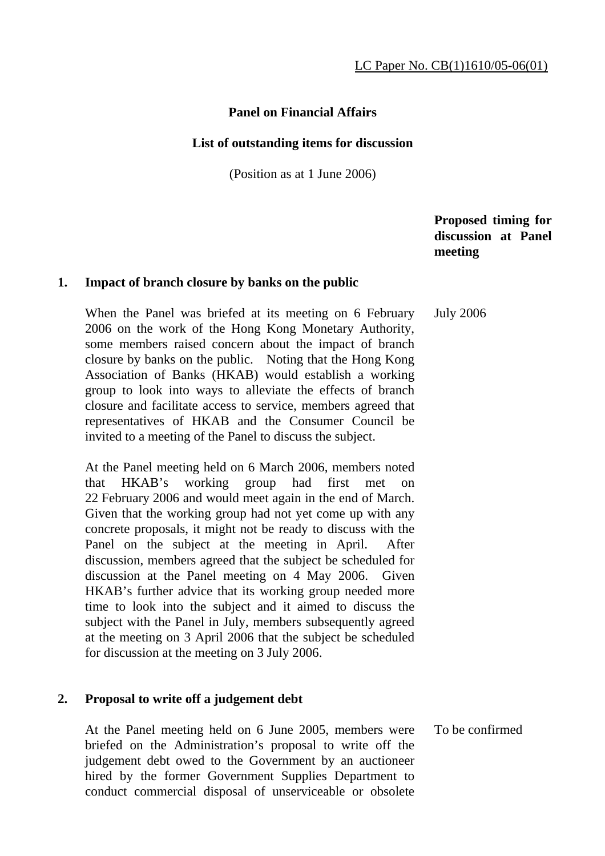# **Panel on Financial Affairs**

#### **List of outstanding items for discussion**

(Position as at 1 June 2006)

 **Proposed timing for discussion at Panel meeting** 

#### **1. Impact of branch closure by banks on the public**

 When the Panel was briefed at its meeting on 6 February 2006 on the work of the Hong Kong Monetary Authority, some members raised concern about the impact of branch closure by banks on the public. Noting that the Hong Kong Association of Banks (HKAB) would establish a working group to look into ways to alleviate the effects of branch closure and facilitate access to service, members agreed that representatives of HKAB and the Consumer Council be invited to a meeting of the Panel to discuss the subject. July 2006

 At the Panel meeting held on 6 March 2006, members noted that HKAB's working group had first met on 22 February 2006 and would meet again in the end of March. Given that the working group had not yet come up with any concrete proposals, it might not be ready to discuss with the Panel on the subject at the meeting in April. After discussion, members agreed that the subject be scheduled for discussion at the Panel meeting on 4 May 2006. Given HKAB's further advice that its working group needed more time to look into the subject and it aimed to discuss the subject with the Panel in July, members subsequently agreed at the meeting on 3 April 2006 that the subject be scheduled for discussion at the meeting on 3 July 2006.

### **2. Proposal to write off a judgement debt**

 At the Panel meeting held on 6 June 2005, members were briefed on the Administration's proposal to write off the judgement debt owed to the Government by an auctioneer hired by the former Government Supplies Department to conduct commercial disposal of unserviceable or obsolete To be confirmed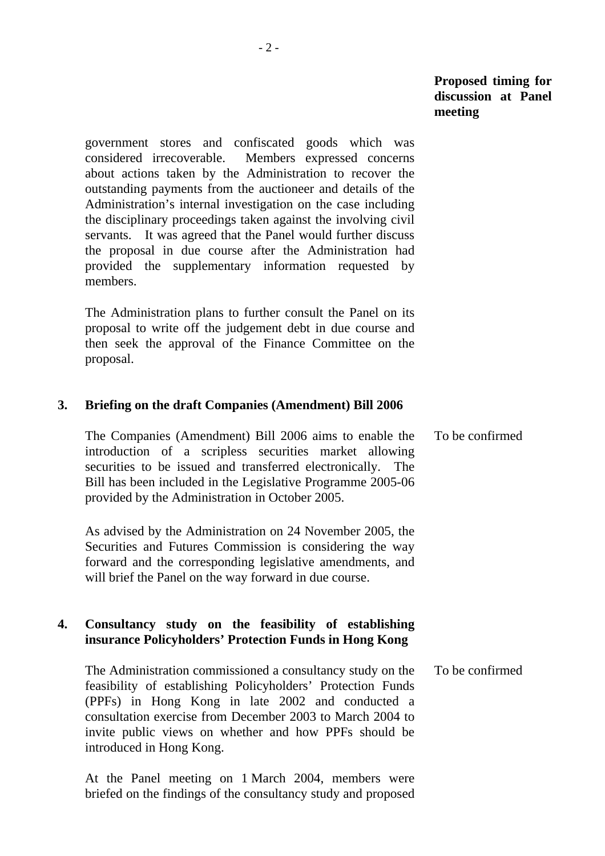government stores and confiscated goods which was considered irrecoverable. Members expressed concerns about actions taken by the Administration to recover the outstanding payments from the auctioneer and details of the Administration's internal investigation on the case including the disciplinary proceedings taken against the involving civil servants. It was agreed that the Panel would further discuss the proposal in due course after the Administration had provided the supplementary information requested by members.

 The Administration plans to further consult the Panel on its proposal to write off the judgement debt in due course and then seek the approval of the Finance Committee on the proposal.

#### **3. Briefing on the draft Companies (Amendment) Bill 2006**

 The Companies (Amendment) Bill 2006 aims to enable the introduction of a scripless securities market allowing securities to be issued and transferred electronically. The Bill has been included in the Legislative Programme 2005-06 provided by the Administration in October 2005. To be confirmed

 As advised by the Administration on 24 November 2005, the Securities and Futures Commission is considering the way forward and the corresponding legislative amendments, and will brief the Panel on the way forward in due course.

## **4. Consultancy study on the feasibility of establishing insurance Policyholders' Protection Funds in Hong Kong**

 The Administration commissioned a consultancy study on the feasibility of establishing Policyholders' Protection Funds (PPFs) in Hong Kong in late 2002 and conducted a consultation exercise from December 2003 to March 2004 to invite public views on whether and how PPFs should be introduced in Hong Kong. To be confirmed

 At the Panel meeting on 1 March 2004, members were briefed on the findings of the consultancy study and proposed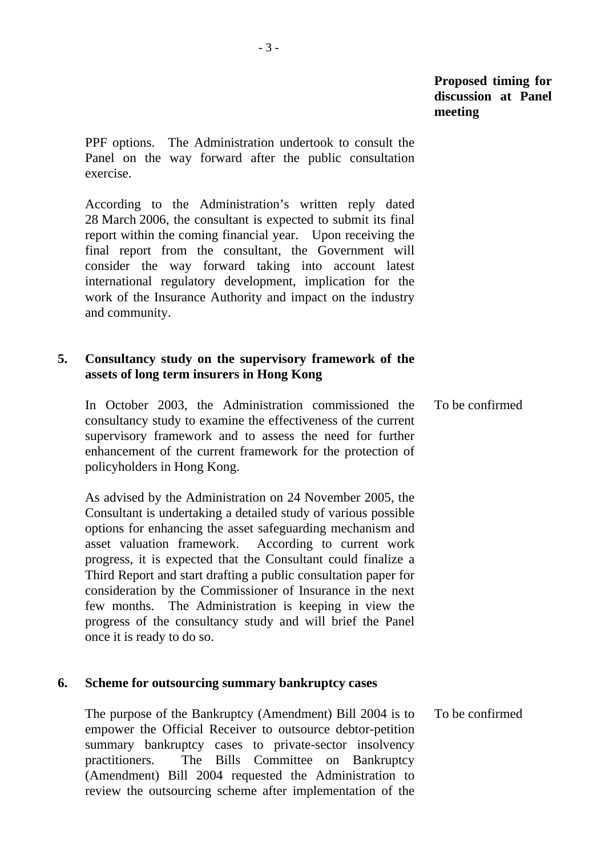PPF options. The Administration undertook to consult the Panel on the way forward after the public consultation exercise.

 According to the Administration's written reply dated 28 March 2006, the consultant is expected to submit its final report within the coming financial year. Upon receiving the final report from the consultant, the Government will consider the way forward taking into account latest international regulatory development, implication for the work of the Insurance Authority and impact on the industry and community.

# **5. Consultancy study on the supervisory framework of the assets of long term insurers in Hong Kong**

 In October 2003, the Administration commissioned the consultancy study to examine the effectiveness of the current supervisory framework and to assess the need for further enhancement of the current framework for the protection of policyholders in Hong Kong. To be confirmed

 As advised by the Administration on 24 November 2005, the Consultant is undertaking a detailed study of various possible options for enhancing the asset safeguarding mechanism and asset valuation framework. According to current work progress, it is expected that the Consultant could finalize a Third Report and start drafting a public consultation paper for consideration by the Commissioner of Insurance in the next few months. The Administration is keeping in view the progress of the consultancy study and will brief the Panel once it is ready to do so.

### **6. Scheme for outsourcing summary bankruptcy cases**

 The purpose of the Bankruptcy (Amendment) Bill 2004 is to empower the Official Receiver to outsource debtor-petition summary bankruptcy cases to private-sector insolvency practitioners. The Bills Committee on Bankruptcy (Amendment) Bill 2004 requested the Administration to review the outsourcing scheme after implementation of the To be confirmed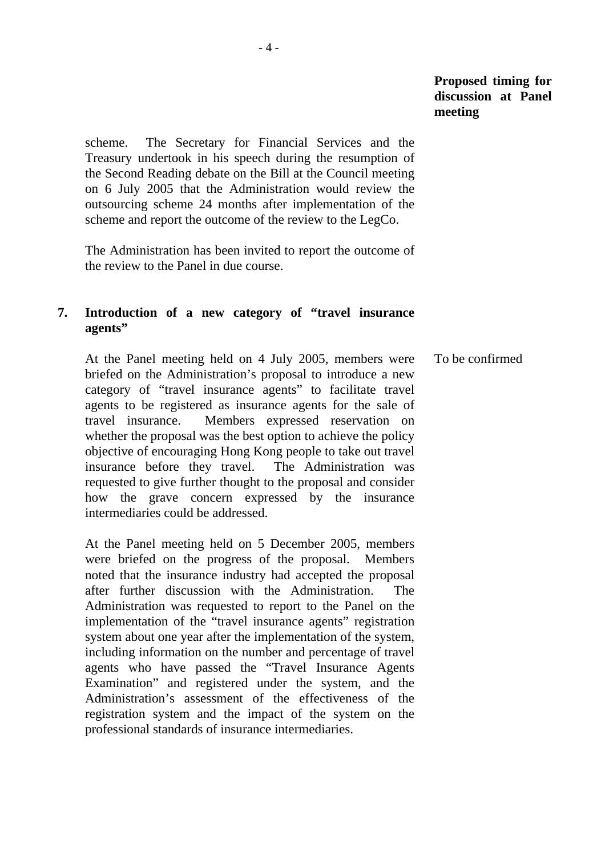scheme. The Secretary for Financial Services and the Treasury undertook in his speech during the resumption of the Second Reading debate on the Bill at the Council meeting on 6 July 2005 that the Administration would review the outsourcing scheme 24 months after implementation of the scheme and report the outcome of the review to the LegCo.

 The Administration has been invited to report the outcome of the review to the Panel in due course.

# **7. Introduction of a new category of "travel insurance agents"**

 At the Panel meeting held on 4 July 2005, members were briefed on the Administration's proposal to introduce a new category of "travel insurance agents" to facilitate travel agents to be registered as insurance agents for the sale of travel insurance. Members expressed reservation on whether the proposal was the best option to achieve the policy objective of encouraging Hong Kong people to take out travel insurance before they travel. The Administration was requested to give further thought to the proposal and consider how the grave concern expressed by the insurance intermediaries could be addressed. To be confirmed

 At the Panel meeting held on 5 December 2005, members were briefed on the progress of the proposal. Members noted that the insurance industry had accepted the proposal after further discussion with the Administration. The Administration was requested to report to the Panel on the implementation of the "travel insurance agents" registration system about one year after the implementation of the system, including information on the number and percentage of travel agents who have passed the "Travel Insurance Agents Examination" and registered under the system, and the Administration's assessment of the effectiveness of the registration system and the impact of the system on the professional standards of insurance intermediaries.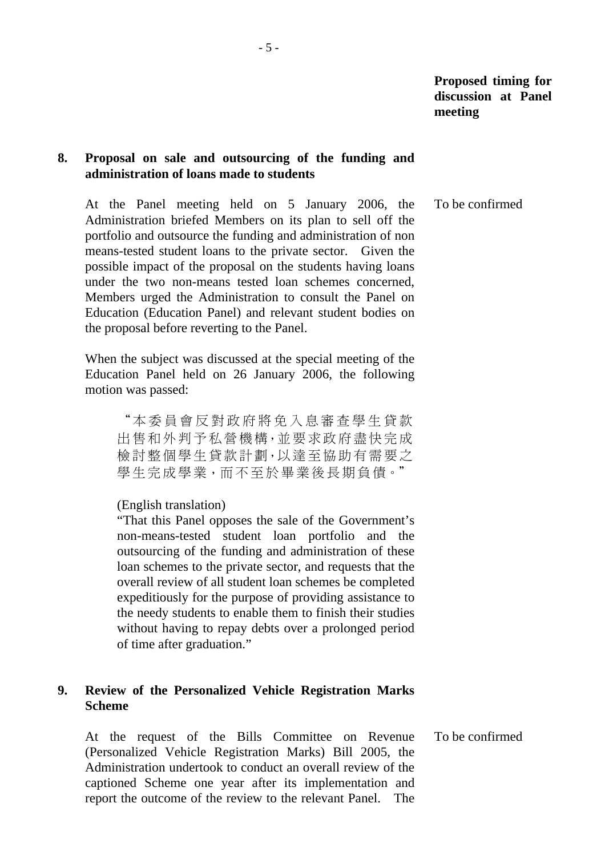### **8. Proposal on sale and outsourcing of the funding and administration of loans made to students**

 At the Panel meeting held on 5 January 2006, the Administration briefed Members on its plan to sell off the portfolio and outsource the funding and administration of non means-tested student loans to the private sector. Given the possible impact of the proposal on the students having loans under the two non-means tested loan schemes concerned, Members urged the Administration to consult the Panel on Education (Education Panel) and relevant student bodies on the proposal before reverting to the Panel. To be confirmed

 When the subject was discussed at the special meeting of the Education Panel held on 26 January 2006, the following motion was passed:

"本委員會反對政府將免入息審查學生貸款 出售和外判予私營機構,並要求政府盡快完成 檢討整個學生貸款計劃,以達至協助有需要之 學生完成學業,而不至於畢業後長期負債。"

(English translation)

"That this Panel opposes the sale of the Government's non-means-tested student loan portfolio and the outsourcing of the funding and administration of these loan schemes to the private sector, and requests that the overall review of all student loan schemes be completed expeditiously for the purpose of providing assistance to the needy students to enable them to finish their studies without having to repay debts over a prolonged period of time after graduation."

# **9. Review of the Personalized Vehicle Registration Marks Scheme**

 At the request of the Bills Committee on Revenue (Personalized Vehicle Registration Marks) Bill 2005, the Administration undertook to conduct an overall review of the captioned Scheme one year after its implementation and report the outcome of the review to the relevant Panel. The To be confirmed